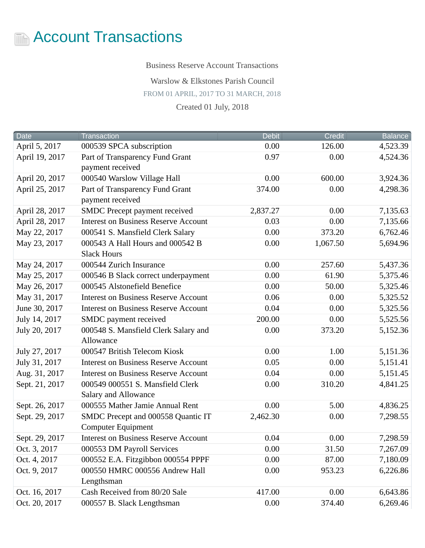

Business Reserve Account Transactions

Warslow & Elkstones Parish Council

FROM 01 APRIL, 2017 TO 31 MARCH, 2018

Created 01 July, 2018

| <b>Date</b>    | <b>Transaction</b>                                              | <b>Debit</b> | Credit   | <b>Balance</b> |
|----------------|-----------------------------------------------------------------|--------------|----------|----------------|
| April 5, 2017  | 000539 SPCA subscription                                        | 0.00         | 126.00   | 4,523.39       |
| April 19, 2017 | Part of Transparency Fund Grant<br>payment received             | 0.97         | 0.00     | 4,524.36       |
| April 20, 2017 | 000540 Warslow Village Hall                                     | 0.00         | 600.00   | 3,924.36       |
| April 25, 2017 | Part of Transparency Fund Grant<br>payment received             | 374.00       | 0.00     | 4,298.36       |
| April 28, 2017 | SMDC Precept payment received                                   | 2,837.27     | 0.00     | 7,135.63       |
| April 28, 2017 | <b>Interest on Business Reserve Account</b>                     | 0.03         | 0.00     | 7,135.66       |
| May 22, 2017   | 000541 S. Mansfield Clerk Salary                                | 0.00         | 373.20   | 6,762.46       |
| May 23, 2017   | 000543 A Hall Hours and 000542 B<br><b>Slack Hours</b>          | 0.00         | 1,067.50 | 5,694.96       |
| May 24, 2017   | 000544 Zurich Insurance                                         | 0.00         | 257.60   | 5,437.36       |
| May 25, 2017   | 000546 B Slack correct underpayment                             | 0.00         | 61.90    | 5,375.46       |
| May 26, 2017   | 000545 Alstonefield Benefice                                    | 0.00         | 50.00    | 5,325.46       |
| May 31, 2017   | <b>Interest on Business Reserve Account</b>                     | 0.06         | 0.00     | 5,325.52       |
| June 30, 2017  | <b>Interest on Business Reserve Account</b>                     | 0.04         | 0.00     | 5,325.56       |
| July 14, 2017  | SMDC payment received                                           | 200.00       | 0.00     | 5,525.56       |
| July 20, 2017  | 000548 S. Mansfield Clerk Salary and<br>Allowance               | 0.00         | 373.20   | 5,152.36       |
| July 27, 2017  | 000547 British Telecom Kiosk                                    | 0.00         | 1.00     | 5,151.36       |
| July 31, 2017  | <b>Interest on Business Reserve Account</b>                     | 0.05         | 0.00     | 5,151.41       |
| Aug. 31, 2017  | <b>Interest on Business Reserve Account</b>                     | 0.04         | 0.00     | 5,151.45       |
| Sept. 21, 2017 | 000549 000551 S. Mansfield Clerk<br><b>Salary and Allowance</b> | 0.00         | 310.20   | 4,841.25       |
| Sept. 26, 2017 | 000555 Mather Jamie Annual Rent                                 | 0.00         | 5.00     | 4,836.25       |
| Sept. 29, 2017 | SMDC Precept and 000558 Quantic IT<br><b>Computer Equipment</b> | 2,462.30     | 0.00     | 7,298.55       |
| Sept. 29, 2017 | <b>Interest on Business Reserve Account</b>                     | 0.04         | 0.00     | 7,298.59       |
| Oct. 3, 2017   | 000553 DM Payroll Services                                      | 0.00         | 31.50    | 7,267.09       |
| Oct. 4, 2017   | 000552 E.A. Fitzgibbon 000554 PPPF                              | 0.00         | 87.00    | 7,180.09       |
| Oct. 9, 2017   | 000550 HMRC 000556 Andrew Hall<br>Lengthsman                    | 0.00         | 953.23   | 6,226.86       |
| Oct. 16, 2017  | Cash Received from 80/20 Sale                                   | 417.00       | 0.00     | 6,643.86       |
| Oct. 20, 2017  | 000557 B. Slack Lengthsman                                      | 0.00         | 374.40   | 6,269.46       |